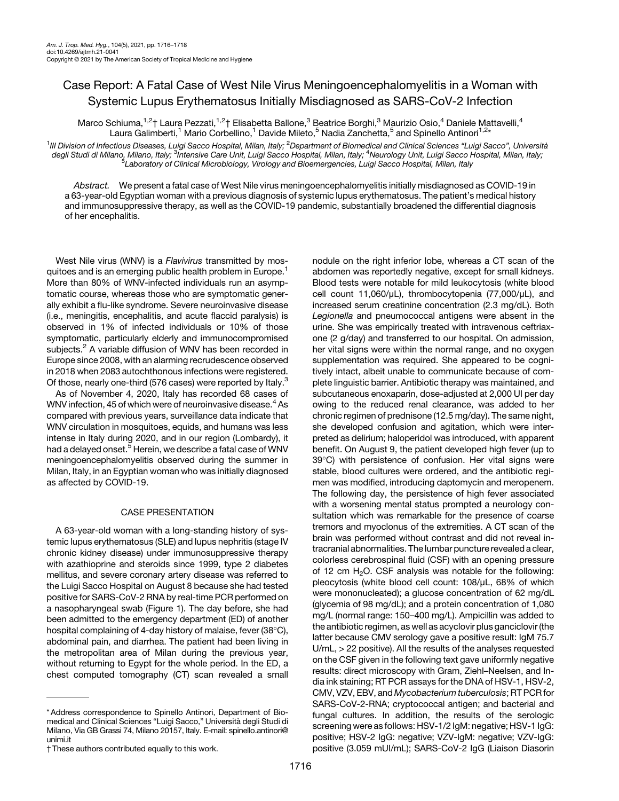## Case Report: A Fatal Case of West Nile Virus Meningoencephalomyelitis in a Woman with Systemic Lupus Erythematosus Initially Misdiagnosed as SARS-CoV-2 Infection

Marco Schiuma,<sup>1,2</sup>† Laura Pezzati,<sup>1,2</sup>† Elisabetta Ballone,<sup>3</sup> Beatrice Borghi,<sup>3</sup> Maurizio Osio,<sup>4</sup> Daniele Mattavelli,<sup>4</sup> Laura Galimberti,<sup>1</sup> Mario Corbellino,<sup>1</sup> Davide Mileto,<sup>5</sup> Nadia Zanchetta,<sup>5</sup> and Spinello Antinori<sup>1,2\*</sup>

<sup>1</sup>III Division of Infectious Diseases, Luigi Sacco Hospital, Milan, Italy; <sup>2</sup>Department of Biomedical and Clinical Sciences "Luigi Sacco", Università degli Studi di Milano, Milano, Italy; <sup>3</sup>intensive Care Unit, Luigi Sacco Hospital, Milan, Italy; <sup>4</sup>Neurology Unit, Luigi Sacco Hospital, Milan, Italy;<br>Si aboratony of Clinical Microbiology, Virology and Bioemergencies, L  $^{\rm 5}$ Laboratory of Clinical Microbiology, Virology and Bioemergencies, Luigi Sacco Hospital, Milan, Italy

Abstract. We present a fatal case of West Nile virus meningoencephalomyelitis initially misdiagnosed as COVID-19 in a 63-year-old Egyptian woman with a previous diagnosis of systemic lupus erythematosus. The patient's medical history and immunosuppressive therapy, as well as the COVID-19 pandemic, substantially broadened the differential diagnosis of her encephalitis.

West Nile virus (WNV) is a Flavivirus transmitted by mos-quitoes and is an emerging public health problem in Europe.<sup>[1](#page-2-0)</sup> More than 80% of WNV-infected individuals run an asymptomatic course, whereas those who are symptomatic generally exhibit a flu-like syndrome. Severe neuroinvasive disease (i.e., meningitis, encephalitis, and acute flaccid paralysis) is observed in 1% of infected individuals or 10% of those symptomatic, particularly elderly and immunocompromised subjects.<sup>[2](#page-2-0)</sup> A variable diffusion of WNV has been recorded in Europe since 2008, with an alarming recrudescence observed in 2018 when 2083 autochthonous infections were registered. Of those, nearly one-third (576 cases) were reported by Italy.<sup>[3](#page-2-0)</sup>

As of November 4, 2020, Italy has recorded 68 cases of WNV infection, [4](#page-2-0)5 of which were of neuroinvasive disease. $4$  As compared with previous years, surveillance data indicate that WNV circulation in mosquitoes, equids, and humans was less intense in Italy during 2020, and in our region (Lombardy), it had a delayed onset.<sup>[5](#page-2-0)</sup> Herein, we describe a fatal case of WNV meningoencephalomyelitis observed during the summer in Milan, Italy, in an Egyptian woman who was initially diagnosed as affected by COVID-19.

## CASE PRESENTATION

A 63-year-old woman with a long-standing history of systemic lupus erythematosus (SLE) and lupus nephritis (stage IV chronic kidney disease) under immunosuppressive therapy with azathioprine and steroids since 1999, type 2 diabetes mellitus, and severe coronary artery disease was referred to the Luigi Sacco Hospital on August 8 because she had tested positive for SARS-CoV-2 RNA by real-time PCR performed on a nasopharyngeal swab ([Figure 1](#page-1-0)). The day before, she had been admitted to the emergency department (ED) of another hospital complaining of 4-day history of malaise, fever (38°C), abdominal pain, and diarrhea. The patient had been living in the metropolitan area of Milan during the previous year, without returning to Egypt for the whole period. In the ED, a chest computed tomography (CT) scan revealed a small

nodule on the right inferior lobe, whereas a CT scan of the abdomen was reportedly negative, except for small kidneys. Blood tests were notable for mild leukocytosis (white blood cell count 11,060/μL), thrombocytopenia (77,000/μL), and increased serum creatinine concentration (2.3 mg/dL). Both Legionella and pneumococcal antigens were absent in the urine. She was empirically treated with intravenous ceftriaxone (2 g/day) and transferred to our hospital. On admission, her vital signs were within the normal range, and no oxygen supplementation was required. She appeared to be cognitively intact, albeit unable to communicate because of complete linguistic barrier. Antibiotic therapy was maintained, and subcutaneous enoxaparin, dose-adjusted at 2,000 UI per day owing to the reduced renal clearance, was added to her chronic regimen of prednisone (12.5 mg/day). The same night, she developed confusion and agitation, which were interpreted as delirium; haloperidol was introduced, with apparent benefit. On August 9, the patient developed high fever (up to 39°C) with persistence of confusion. Her vital signs were stable, blood cultures were ordered, and the antibiotic regimen was modified, introducing daptomycin and meropenem. The following day, the persistence of high fever associated with a worsening mental status prompted a neurology consultation which was remarkable for the presence of coarse tremors and myoclonus of the extremities. A CT scan of the brain was performed without contrast and did not reveal intracranial abnormalities. The lumbar puncture revealed a clear, colorless cerebrospinal fluid (CSF) with an opening pressure of 12 cm  $H_2O$ . CSF analysis was notable for the following: pleocytosis (white blood cell count: 108/μL, 68% of which were mononucleated); a glucose concentration of 62 mg/dL (glycemia of 98 mg/dL); and a protein concentration of 1,080 mg/L (normal range: 150–400 mg/L). Ampicillin was added to the antibiotic regimen, as well as acyclovir plus ganciclovir (the latter because CMV serology gave a positive result: IgM 75.7 U/mL, > 22 positive). All the results of the analyses requested on the CSF given in the following text gave uniformly negative results: direct microscopy with Gram, Ziehl–Neelsen, and India ink staining; RT PCR assays for the DNA of HSV-1, HSV-2, CMV, VZV, EBV, and Mycobacterium tuberculosis; RT PCR for SARS-CoV-2-RNA; cryptococcal antigen; and bacterial and fungal cultures. In addition, the results of the serologic screening were as follows: HSV-1/2 IgM: negative; HSV-1 IgG: positive; HSV-2 IgG: negative; VZV-IgM: negative; VZV-IgG: positive (3.059 mUI/mL); SARS-CoV-2 IgG (Liaison Diasorin

<sup>\*</sup> Address correspondence to Spinello Antinori, Department of Biomedical and Clinical Sciences "Luigi Sacco," Università degli Studi di Milano, Via GB Grassi 74, Milano 20157, Italy. E-mail: [spinello.antinori@](mailto:spinello.antinori@unimi.it) [unimi.it](mailto:spinello.antinori@unimi.it)

<sup>†</sup> These authors contributed equally to this work.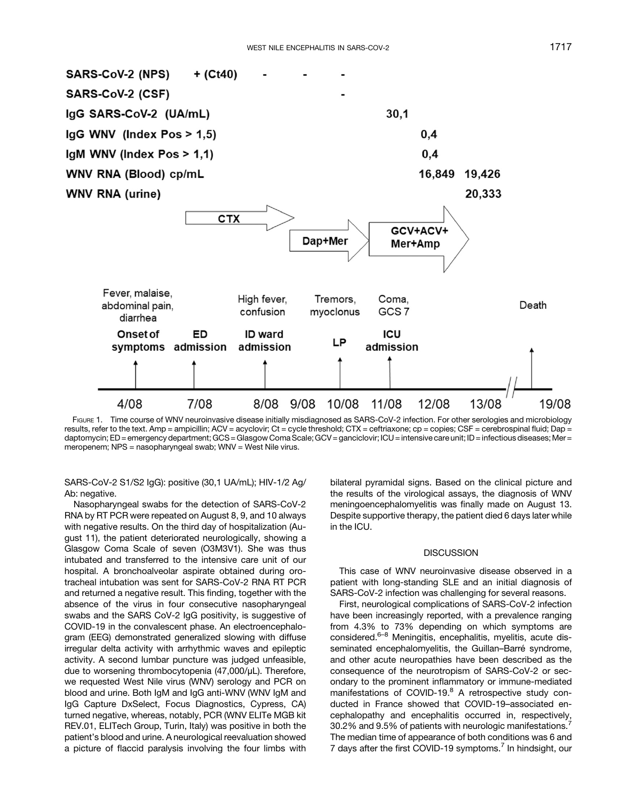<span id="page-1-0"></span>

FIGURE 1. Time course of WNV neuroinvasive disease initially misdiagnosed as SARS-CoV-2 infection. For other serologies and microbiology results, refer to the text. Amp = ampicillin; ACV = acyclovir; Ct = cycle threshold; CTX = ceftriaxone; cp = copies; CSF = cerebrospinal fluid; Dap = daptomycin; ED = emergency department; GCS = Glasgow Coma Scale; GCV = ganciclovir; ICU = intensive care unit; ID = infectious diseases; Mer = meropenem; NPS = nasopharyngeal swab; WNV = West Nile virus.

SARS-CoV-2 S1/S2 IgG): positive (30,1 UA/mL); HIV-1/2 Ag/ Ab: negative.

Nasopharyngeal swabs for the detection of SARS-CoV-2 RNA by RT PCR were repeated on August 8, 9, and 10 always with negative results. On the third day of hospitalization (August 11), the patient deteriorated neurologically, showing a Glasgow Coma Scale of seven (O3M3V1). She was thus intubated and transferred to the intensive care unit of our hospital. A bronchoalveolar aspirate obtained during orotracheal intubation was sent for SARS-CoV-2 RNA RT PCR and returned a negative result. This finding, together with the absence of the virus in four consecutive nasopharyngeal swabs and the SARS CoV-2 IgG positivity, is suggestive of COVID-19 in the convalescent phase. An electroencephalogram (EEG) demonstrated generalized slowing with diffuse irregular delta activity with arrhythmic waves and epileptic activity. A second lumbar puncture was judged unfeasible, due to worsening thrombocytopenia (47,000/μL). Therefore, we requested West Nile virus (WNV) serology and PCR on blood and urine. Both IgM and IgG anti-WNV (WNV IgM and IgG Capture DxSelect, Focus Diagnostics, Cypress, CA) turned negative, whereas, notably, PCR (WNV ELITe MGB kit REV.01, ELITech Group, Turin, Italy) was positive in both the patient's blood and urine. A neurological reevaluation showed a picture of flaccid paralysis involving the four limbs with bilateral pyramidal signs. Based on the clinical picture and the results of the virological assays, the diagnosis of WNV meningoencephalomyelitis was finally made on August 13. Despite supportive therapy, the patient died 6 days later while in the ICU.

## **DISCUSSION**

This case of WNV neuroinvasive disease observed in a patient with long-standing SLE and an initial diagnosis of SARS-CoV-2 infection was challenging for several reasons.

First, neurological complications of SARS-CoV-2 infection have been increasingly reported, with a prevalence ranging from 4.3% to 73% depending on which symptoms are considered.<sup>[6](#page-2-0)–[8](#page-2-0)</sup> Meningitis, encephalitis, myelitis, acute disseminated encephalomyelitis, the Guillan–Barré syndrome, and other acute neuropathies have been described as the consequence of the neurotropism of SARS-CoV-2 or secondary to the prominent inflammatory or immune-mediated manifestations of COVID-19.<sup>[8](#page-2-0)</sup> A retrospective study conducted in France showed that COVID-19–associated encephalopathy and encephalitis occurred in, respectively, 30.2% and 9.5% of patients with neurologic manifestations.[7](#page-2-0) The median time of appearance of both conditions was 6 and [7](#page-2-0) days after the first COVID-19 symptoms.<sup>7</sup> In hindsight, our